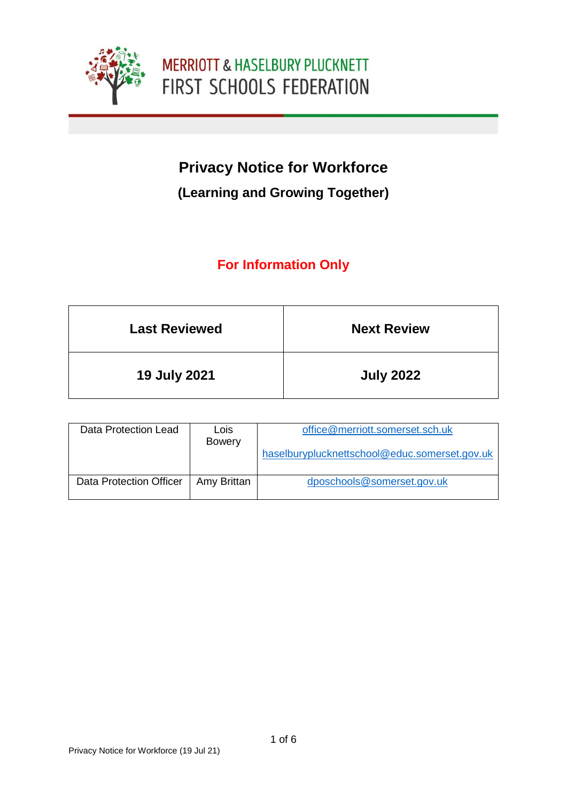

# **Privacy Notice for Workforce**

### **(Learning and Growing Together)**

## **For Information Only**

| <b>Last Reviewed</b> | <b>Next Review</b> |
|----------------------|--------------------|
| <b>19 July 2021</b>  | <b>July 2022</b>   |

| Data Protection Lead    | Lois<br>Bowery | office@merriott.somerset.sch.uk               |
|-------------------------|----------------|-----------------------------------------------|
|                         |                | haselburyplucknettschool@educ.somerset.gov.uk |
| Data Protection Officer | Amy Brittan    | dposchools@somerset.gov.uk                    |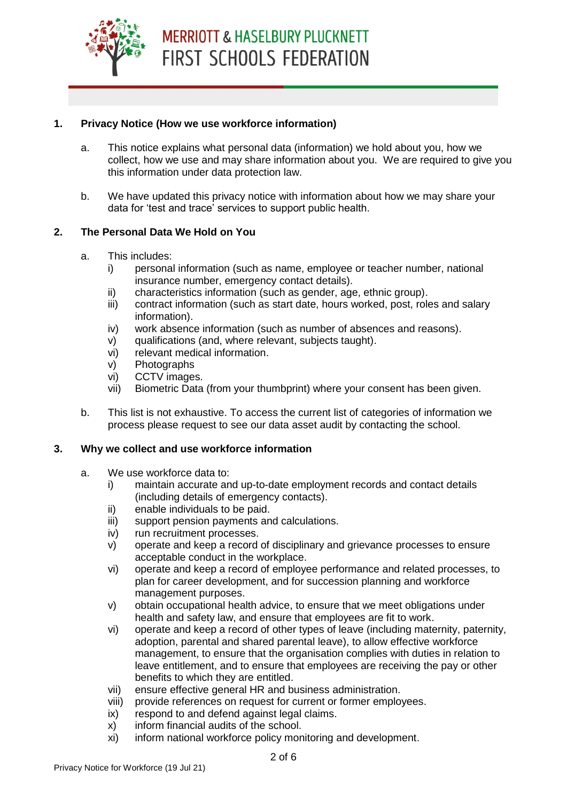#### **1. Privacy Notice (How we use workforce information)**

- a. This notice explains what personal data (information) we hold about you, how we collect, how we use and may share information about you. We are required to give you this information under data protection law.
- b. We have updated this privacy notice with information about how we may share your data for 'test and trace' services to support public health.

#### **2. The Personal Data We Hold on You**

- a. This includes:
	- i) personal information (such as name, employee or teacher number, national insurance number, emergency contact details).
	- ii) characteristics information (such as gender, age, ethnic group).
	- iii) contract information (such as start date, hours worked, post, roles and salary information).
	- iv) work absence information (such as number of absences and reasons).
	- v) qualifications (and, where relevant, subjects taught).
	- vi) relevant medical information.
	- v) Photographs
	- vi) CCTV images.
	- vii) Biometric Data (from your thumbprint) where your consent has been given.
- b. This list is not exhaustive. To access the current list of categories of information we process please request to see our data asset audit by contacting the school.

#### **3. Why we collect and use workforce information**

- a. We use workforce data to:
	- i) maintain accurate and up-to-date employment records and contact details (including details of emergency contacts).
	- ii) enable individuals to be paid.
	- iii) support pension payments and calculations.
	- iv) run recruitment processes.
	- v) operate and keep a record of disciplinary and grievance processes to ensure acceptable conduct in the workplace.
	- vi) operate and keep a record of employee performance and related processes, to plan for career development, and for succession planning and workforce management purposes.
	- v) obtain occupational health advice, to ensure that we meet obligations under health and safety law, and ensure that employees are fit to work.
	- vi) operate and keep a record of other types of leave (including maternity, paternity, adoption, parental and shared parental leave), to allow effective workforce management, to ensure that the organisation complies with duties in relation to leave entitlement, and to ensure that employees are receiving the pay or other benefits to which they are entitled.
	- vii) ensure effective general HR and business administration.
	- viii) provide references on request for current or former employees.
	- ix) respond to and defend against legal claims.
	- x) inform financial audits of the school.
	- xi) inform national workforce policy monitoring and development.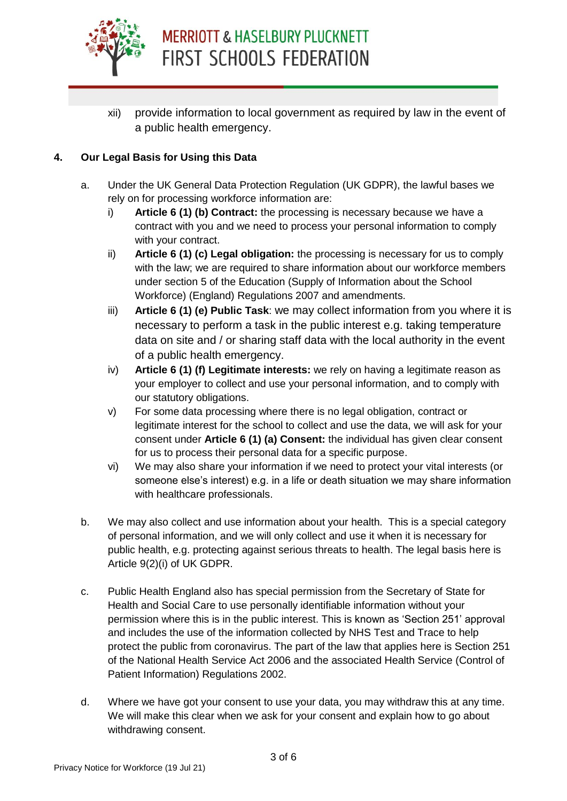

xii) provide information to local government as required by law in the event of a public health emergency.

#### **4. Our Legal Basis for Using this Data**

- a. Under the UK General Data Protection Regulation (UK GDPR), the lawful bases we rely on for processing workforce information are:
	- i) **Article 6 (1) (b) Contract:** the processing is necessary because we have a contract with you and we need to process your personal information to comply with your contract.
	- ii) **Article 6 (1) (c) Legal obligation:** the processing is necessary for us to comply with the law; we are required to share information about our workforce members under section 5 of the Education (Supply of Information about the School Workforce) (England) Regulations 2007 and amendments.
	- iii) **Article 6 (1) (e) Public Task**: we may collect information from you where it is necessary to perform a task in the public interest e.g. taking temperature data on site and / or sharing staff data with the local authority in the event of a public health emergency.
	- iv) **Article 6 (1) (f) Legitimate interests:** we rely on having a legitimate reason as your employer to collect and use your personal information, and to comply with our statutory obligations.
	- v) For some data processing where there is no legal obligation, contract or legitimate interest for the school to collect and use the data, we will ask for your consent under **Article 6 (1) (a) Consent:** the individual has given clear consent for us to process their personal data for a specific purpose.
	- vi) We may also share your information if we need to protect your vital interests (or someone else's interest) e.g. in a life or death situation we may share information with healthcare professionals.
- b. We may also collect and use information about your health. This is a special category of personal information, and we will only collect and use it when it is necessary for public health, e.g. protecting against serious threats to health. The legal basis here is Article 9(2)(i) of UK GDPR.
- c. Public Health England also has special permission from the Secretary of State for Health and Social Care to use personally identifiable information without your permission where this is in the public interest. This is known as 'Section 251' approval and includes the use of the information collected by NHS Test and Trace to help protect the public from coronavirus. The part of the law that applies here is Section 251 of the National Health Service Act 2006 and the associated Health Service (Control of Patient Information) Regulations 2002.
- d. Where we have got your consent to use your data, you may withdraw this at any time. We will make this clear when we ask for your consent and explain how to go about withdrawing consent.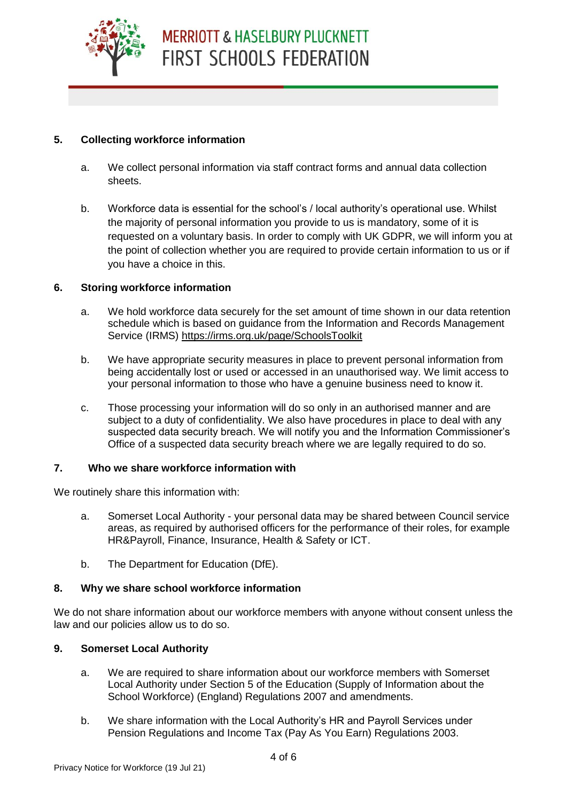

#### **5. Collecting workforce information**

- a. We collect personal information via staff contract forms and annual data collection sheets.
- b. Workforce data is essential for the school's / local authority's operational use. Whilst the majority of personal information you provide to us is mandatory, some of it is requested on a voluntary basis. In order to comply with UK GDPR, we will inform you at the point of collection whether you are required to provide certain information to us or if you have a choice in this.

#### **6. Storing workforce information**

- a. We hold workforce data securely for the set amount of time shown in our data retention schedule which is based on guidance from the Information and Records Management Service (IRMS)<https://irms.org.uk/page/SchoolsToolkit>
- b. We have appropriate security measures in place to prevent personal information from being accidentally lost or used or accessed in an unauthorised way. We limit access to your personal information to those who have a genuine business need to know it.
- c. Those processing your information will do so only in an authorised manner and are subject to a duty of confidentiality. We also have procedures in place to deal with any suspected data security breach. We will notify you and the Information Commissioner's Office of a suspected data security breach where we are legally required to do so.

#### **7. Who we share workforce information with**

We routinely share this information with:

- a. Somerset Local Authority your personal data may be shared between Council service areas, as required by authorised officers for the performance of their roles, for example HR&Payroll, Finance, Insurance, Health & Safety or ICT.
- b. The Department for Education (DfE).

#### **8. Why we share school workforce information**

We do not share information about our workforce members with anyone without consent unless the law and our policies allow us to do so.

#### **9. Somerset Local Authority**

- a. We are required to share information about our workforce members with Somerset Local Authority under Section 5 of the Education (Supply of Information about the School Workforce) (England) Regulations 2007 and amendments.
- b. We share information with the Local Authority's HR and Payroll Services under Pension Regulations and Income Tax (Pay As You Earn) Regulations 2003.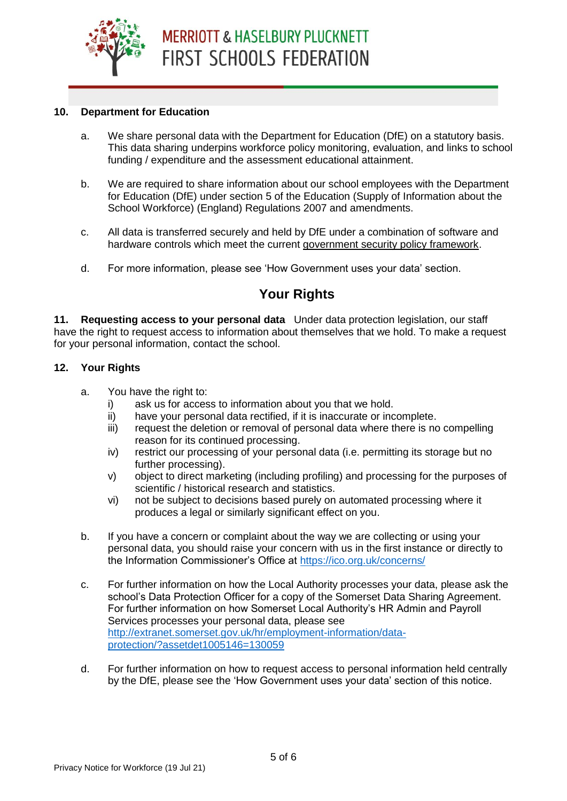

#### **10. Department for Education**

- a. We share personal data with the Department for Education (DfE) on a statutory basis. This data sharing underpins workforce policy monitoring, evaluation, and links to school funding / expenditure and the assessment educational attainment.
- b. We are required to share information about our school employees with the Department for Education (DfE) under section 5 of the Education (Supply of Information about the School Workforce) (England) Regulations 2007 and amendments.
- c. All data is transferred securely and held by DfE under a combination of software and hardware controls which meet the current [government security policy framework.](https://www.gov.uk/government/publications/security-policy-framework)
- d. For more information, please see 'How Government uses your data' section.

### **Your Rights**

**11. Requesting access to your personal data** Under data protection legislation, our staff have the right to request access to information about themselves that we hold. To make a request for your personal information, contact the school.

#### **12. Your Rights**

- a. You have the right to:
	- i) ask us for access to information about you that we hold.
	- ii) have your personal data rectified, if it is inaccurate or incomplete.
	- iii) request the deletion or removal of personal data where there is no compelling reason for its continued processing.
	- iv) restrict our processing of your personal data (i.e. permitting its storage but no further processing).
	- v) object to direct marketing (including profiling) and processing for the purposes of scientific / historical research and statistics.
	- vi) not be subject to decisions based purely on automated processing where it produces a legal or similarly significant effect on you.
- b. If you have a concern or complaint about the way we are collecting or using your personal data, you should raise your concern with us in the first instance or directly to the Information Commissioner's Office at<https://ico.org.uk/concerns/>
- c. For further information on how the Local Authority processes your data, please ask the school's Data Protection Officer for a copy of the Somerset Data Sharing Agreement. For further information on how Somerset Local Authority's HR Admin and Payroll Services processes your personal data, please see [http://extranet.somerset.gov.uk/hr/employment-information/data](http://extranet.somerset.gov.uk/hr/employment-information/data-protection/?assetdet1005146=130059)[protection/?assetdet1005146=130059](http://extranet.somerset.gov.uk/hr/employment-information/data-protection/?assetdet1005146=130059)
- d. For further information on how to request access to personal information held centrally by the DfE, please see the 'How Government uses your data' section of this notice.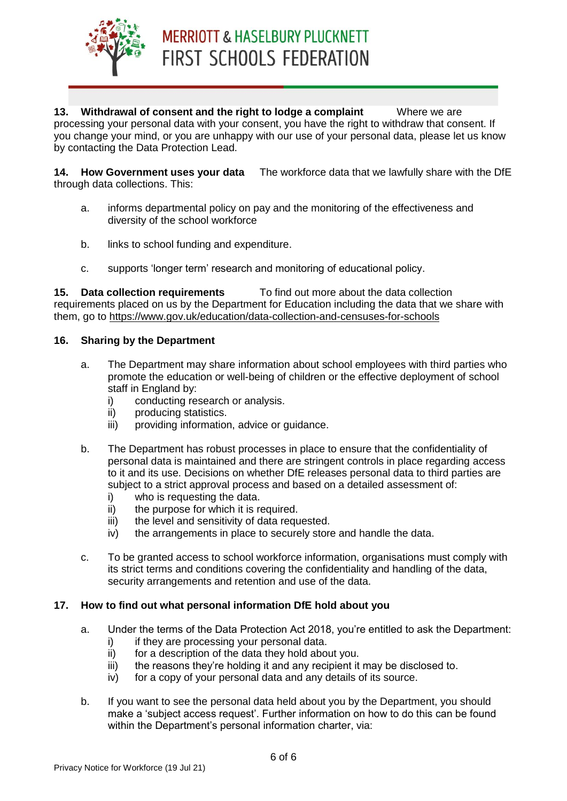

**13. Withdrawal of consent and the right to lodge a complaint** Where we are processing your personal data with your consent, you have the right to withdraw that consent. If you change your mind, or you are unhappy with our use of your personal data, please let us know by contacting the Data Protection Lead.

**14. How Government uses your data** The workforce data that we lawfully share with the DfE through data collections. This:

- a. informs departmental policy on pay and the monitoring of the effectiveness and diversity of the school workforce
- b. links to school funding and expenditure.
- c. supports 'longer term' research and monitoring of educational policy.

**15. Data collection requirements** To find out more about the data collection requirements placed on us by the Department for Education including the data that we share with them, go to<https://www.gov.uk/education/data-collection-and-censuses-for-schools>

#### **16. Sharing by the Department**

- a. The Department may share information about school employees with third parties who promote the education or well-being of children or the effective deployment of school staff in England by:
	- i) conducting research or analysis.
	- ii) producing statistics.
	- iii) providing information, advice or guidance.
- b. The Department has robust processes in place to ensure that the confidentiality of personal data is maintained and there are stringent controls in place regarding access to it and its use. Decisions on whether DfE releases personal data to third parties are subject to a strict approval process and based on a detailed assessment of:
	- i) who is requesting the data.
	- ii) the purpose for which it is required.
	- iii) the level and sensitivity of data requested.
	- iv) the arrangements in place to securely store and handle the data.
- c. To be granted access to school workforce information, organisations must comply with its strict terms and conditions covering the confidentiality and handling of the data, security arrangements and retention and use of the data.

#### **17. How to find out what personal information DfE hold about you**

- a. Under the terms of the Data Protection Act 2018, you're entitled to ask the Department:
	- i) if they are processing your personal data.
	- ii) for a description of the data they hold about you. iii) the reasons they're holding it and any recipient it may be disclosed to.
	- iv) for a copy of your personal data and any details of its source.
- b. If you want to see the personal data held about you by the Department, you should make a 'subject access request'. Further information on how to do this can be found within the Department's personal information charter, via: